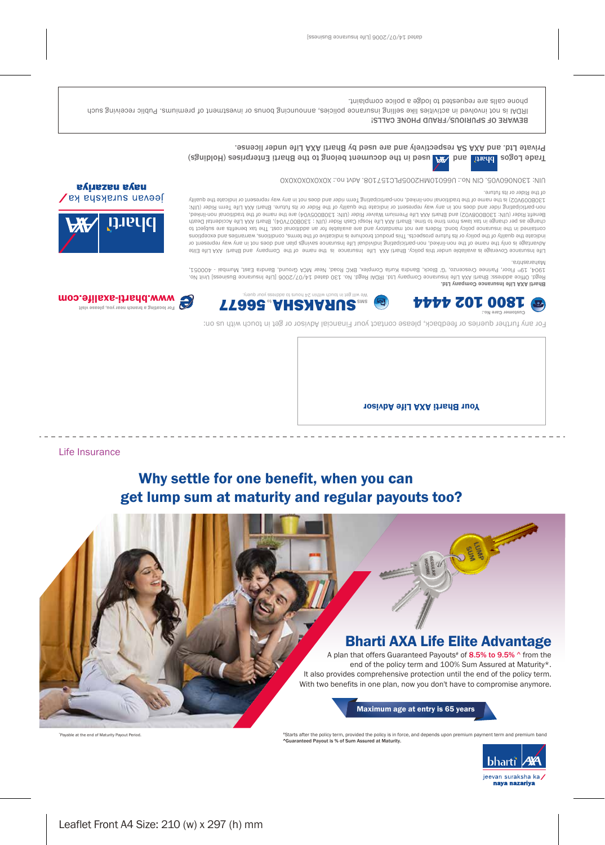Private Ltd. and AXA is a prespectively and are used by Bharti AXA Life under license.

Trade Logos Librid ( and the sessing of the document belong to the Bharti Enterprises ( again state)

AIN: J30N060V05. CIN No.: U66010MH2005PLC157108.801 ho.: XOXOXOXOXOXOXO

of the Rider or its future.

BEMVHE OL SLOHOOR AL SATO LA BRONE CYTTSI

phone calls are requested to lodge a police complaint.

Customer Care No.:

non-participating rider and does not in any way represent or indicate the quality of the Rider or its future. Bharti AXA Life Term Rider (UIN: 130B009V02) is the name of the traditional non-linked, non-participating Term rider and does not in any way represent or indicate the quality



Jeevan sursksha ka Benefit Rider (UIN: 130B008V02) and Bharti AXA Life Premium Waiver Rider (UIN: 130B005V04) are the name of the traditional non-linked, **Dharti** change as per change in tax laws from time to time. Bharti AXA Life Hospi Cash Rider (UIN : 130B007V04), Bharti AXA Life Accidental Death

**77668.AHRXASERSHA** 

Homa is not involved in setivities build buring announce series announce of premiers of premiums. Public receiving such

Maharashtra. Life Insurance Coverage is abailable and the name of the Insurance is the name of the Company annel Bharti AXA Life Elite Advantage is only the name of the non-linked, non-participating individual Life Insurance savings plan and does not in any way represent or indicate the quality of the policy or its future prospects. This product brochure is indicative of the terms, conditions, warranties and exceptions contained in the insurance policy bond. About mandatory and are available for an additional cost. The tax benefits are subject to

Regd. Office adriess: Bharti AXA Life Insurance Company ttd. In Abget. No. 130 dated 14/07/2007 [Cife Insurance Busines Ious 1.07] 1904, 19th Floor, Parinee Crescenzo, 'G' Block, Bandra Kurla Complex, BKC Road, Near MCA Ground, Bandra East, Mumbai - 400051,

Bharti AXA Life Insurance Company Ltd.

 $\mathcal{L}$  address to a send quest a sember of and  $\mathcal{L}$  and  $\mathcal{L}$  and  $\mathcal{L}$  and  $\mathcal{L}$  and  $\mathcal{L}$  and  $\mathcal{L}$  and  $\mathcal{L}$  in equating a brance or  $\mathcal{L}$  and  $\mathcal{L}$  and  $\mathcal{L}$  and  $\mathcal{L}$  and  $\mathcal{L}$  e.com music com

**Byliszen syang** 

For any further queries or feedback, please contact your Financial Advisor or get in touch with us on:

Your Bharti AXA Life Advisor

Life Insurance

\*Payable at the end of Maturity Payout Period.

# Why settle for one benefit, when you can get lump sum at maturity and regular payouts too?



#Starts after the policy term, provided the policy is in force, and depends upon premium payment term and premium band ^Guaranteed Payout is % of Sum Assured at Maturity.